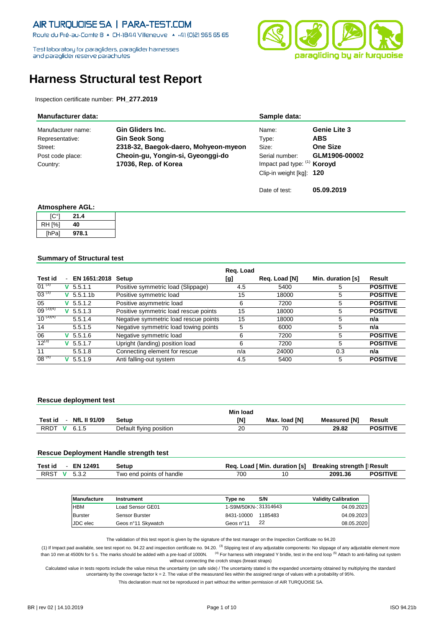Route du Pré-au-Comte 8 + CH-1844 Villeneuve + +41 (0)21 965 65 65

Test laboratory for paragliders, paraglider hamesses and paraglider reserve parachutes



# **Harness Structural test Report**

Inspection certificate number: **PH\_277.2019**

| <b>Manufacturer data:</b> |                                      | Sample data:                |                     |
|---------------------------|--------------------------------------|-----------------------------|---------------------|
| Manufacturer name:        | Gin Gliders Inc.                     | Name:                       | <b>Genie Lite 3</b> |
| Representative:           | <b>Gin Seok Song</b>                 | Type:                       | <b>ABS</b>          |
| Street:                   | 2318-32, Baegok-daero, Mohyeon-myeon | Size:                       | <b>One Size</b>     |
| Post code place:          | Cheoin-gu, Yongin-si, Gyeonggi-do    | Serial number:              | GLM1906-00002       |
| Country:                  | 17036, Rep. of Korea                 | Impact pad type: (1) Koroyd |                     |
|                           |                                      | Clip-in weight [kg]: 120    |                     |
|                           |                                      | Date of test:               | 05.09.2019          |

### **Atmosphere AGL:**

| ୮C°1   | 21.4  |
|--------|-------|
| RH [%] | 40    |
| [hPa]  | 978.1 |

### **Summary of Structural test**

|               |   |                    |                                       | Req. Load |               |                   |                 |
|---------------|---|--------------------|---------------------------------------|-----------|---------------|-------------------|-----------------|
| Test id       |   | EN 1651:2018 Setup |                                       | [g]       | Reg. Load [N] | Min. duration [s] | Result          |
| $01^{(3)}$    |   | $V$ 5.5.1.1        | Positive symmetric load (Slippage)    | 4.5       | 5400          | 5                 | <b>POSITIVE</b> |
| $03^{(3)}$    | v | 5.5.1.1b           | Positive symmetric load               | 15        | 18000         | 5                 | <b>POSITIVE</b> |
| 05            | v | 5.5.1.2            | Positive asymmetric load              | 6         | 7200          | 5                 | <b>POSITIVE</b> |
| $09^{(3)(4)}$ | v | 5.5.1.3            | Positive symmetric load rescue points | 15        | 18000         | 5                 | <b>POSITIVE</b> |
| $10^{(3)(4)}$ |   | 5.5.1.4            | Negative symmetric load rescue points | 15        | 18000         | 5                 | n/a             |
| 14            |   | 5.5.1.5            | Negative symmetric load towing points | 5         | 6000          | 5                 | n/a             |
| 06            |   | $V$ 5.5.1.6        | Negative symmetric load               | 6         | 7200          | 5                 | <b>POSITIVE</b> |
| $12^{(3)}$    | v | 5.5.1.7            | Upright (landing) position load       | 6         | 7200          | 5                 | <b>POSITIVE</b> |
| 11            |   | 5.5.1.8            | Connecting element for rescue         | n/a       | 24000         | 0.3               | n/a             |
| $08^{(5)}$    |   | 5.5.1.9            | Anti falling-out system               | 4.5       | 5400          | 5                 | <b>POSITIVE</b> |

### **Rescue deployment test**

|                                      |                         | Min load |               |                     |                 |
|--------------------------------------|-------------------------|----------|---------------|---------------------|-----------------|
| <b>NfL II 91/09</b><br>Test id       | Setup                   | [N]      | Max. load [N] | <b>Measured [N]</b> | Result          |
| <b>RRDT</b><br>6.1.5<br>$\mathbf{v}$ | Default flying position | 20       | 70            | 29.82               | <b>POSITIVE</b> |

### **Rescue Deployment Handle strength test**

| Test id      | <b>EN 12491</b> | Setup                    |     | Req. Load   Min. duration [s] Breaking strength   Result |                 |
|--------------|-----------------|--------------------------|-----|----------------------------------------------------------|-----------------|
| RRST V 5.3.2 |                 | Two end points of handle | 700 | 2091.36                                                  | <b>POSITIVE</b> |

| Manufacture     | Instrument         | Tvpe no              | S/N     | <b>Validity Calibration</b> |
|-----------------|--------------------|----------------------|---------|-----------------------------|
| <b>HBM</b>      | Load Sensor GE01   | 1-S9M/50KN- 31314643 |         | 04.09.20231                 |
| <b>Burster</b>  | Sensor Burster     | 8431-10000           | 1185483 | 04.09.20231                 |
| <b>JDC</b> elec | Geos n°11 Skywatch | Geos n°11            | 22      | 08.05.2020                  |

The validation of this test report is given by the signature of the test manager on the Inspection Certificate no 94.20

(1) If Impact pad available, see test report no. 94.22 and inspection certificate no. 94.20. <sup>(3)</sup> Slipping test of any adjustable components: No slippage of any adjustable element more than 10 mm at 4500N for 5 s. The marks should be added with a pre-load of 1000N. <sup>(4)</sup> For harness with integrated Y bridle, test in the end loop <sup>(5)</sup> Attach to anti-falling out system without connecting the crotch straps (breast straps)

Calculated value in tests reports include the value minus the uncertainty (on safe side) / The uncertainty stated is the expanded uncertainty obtained by multiplying the standard uncertainty by the coverage factor k = 2. The value of the measurand lies within the assigned range of values with a probability of 95%.

This declaration must not be reproduced in part without the written permission of AIR TURQUOISE SA.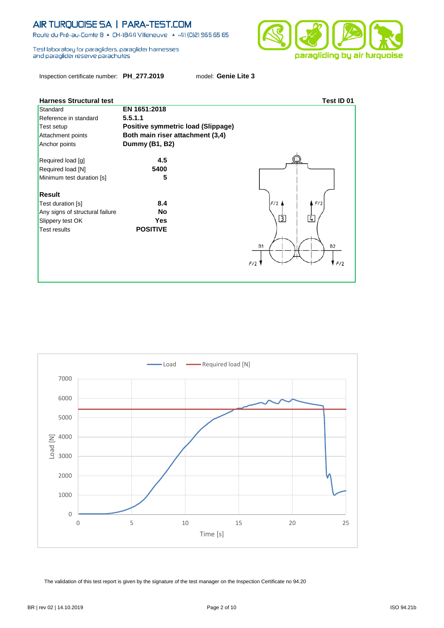Route du Pré-au-Comte 8 & CH-1844 Villeneuve | 4 +41 (0)21 965 65 65

Test laboratory for paragliders, paraglider hamesses and paraglider reserve parachutes

Inspection certificate number: **PH\_277.2019** model: **Genie Lite 3**

| <b>Harness Structural test</b>  |                                    | Test ID 01                    |
|---------------------------------|------------------------------------|-------------------------------|
| Standard                        | EN 1651:2018                       |                               |
| Reference in standard           | 5.5.1.1                            |                               |
| Test setup                      | Positive symmetric load (Slippage) |                               |
| Attachment points               | Both main riser attachment (3,4)   |                               |
| Anchor points                   | Dummy (B1, B2)                     |                               |
| Required load [g]               | 4.5                                |                               |
| Required load [N]               | 5400                               |                               |
| Minimum test duration [s]       | 5                                  |                               |
| <b>Result</b>                   |                                    |                               |
| Test duration [s]               | 8.4                                | F/2<br>F/2                    |
| Any signs of structural failure | <b>No</b>                          |                               |
| Slippery test OK                | <b>Yes</b>                         | 厅<br>$\overline{4}$           |
| <b>Test results</b>             | <b>POSITIVE</b>                    |                               |
|                                 |                                    | <b>B2</b><br><b>B1</b><br>F/2 |



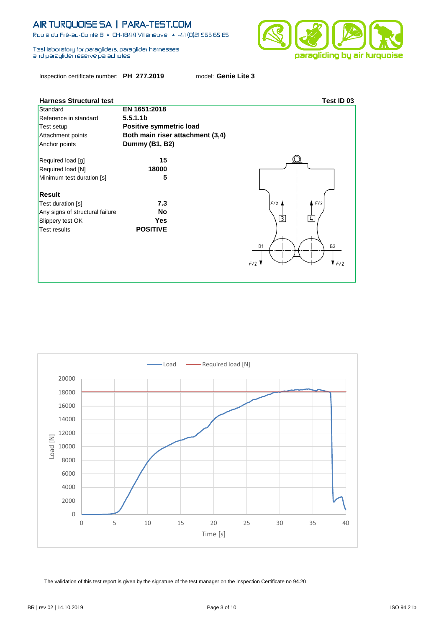Route du Pré-au-Comte 8 + CH-1844 Villeneuve + +41 (0)21 965 65 65

Test laboratory for paragliders, paraglider hamesses and paraglider reserve parachutes

Inspection certificate number: **PH\_277.2019** model: **Genie Lite 3**







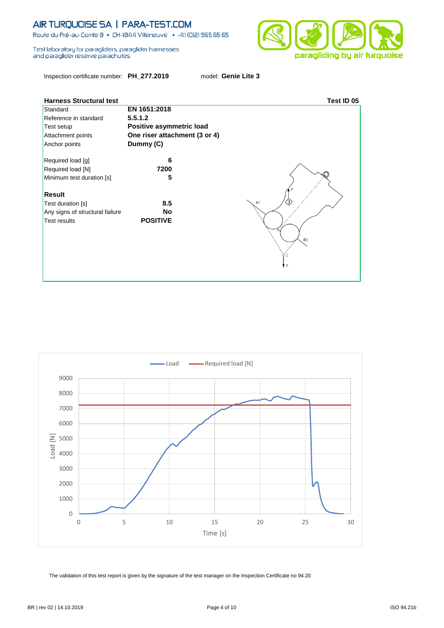Route du Pré-au-Comte 8 & CH-1844 Villeneuve | 4 +41 (0)21 965 65 65

Test laboratory for paragliders, paraglider hamesses and paraglider reserve parachutes

Inspection certificate number: **PH\_277.2019** model: **Genie Lite 3**



| <b>Harness Structural test</b>  |                               | Test ID 05     |
|---------------------------------|-------------------------------|----------------|
| Standard                        | EN 1651:2018                  |                |
| Reference in standard           | 5.5.1.2                       |                |
| Test setup                      | Positive asymmetric load      |                |
| Attachment points               | One riser attachment (3 or 4) |                |
| Anchor points                   | Dummy (C)                     |                |
| Required load [g]               | 6                             |                |
| Required load [N]               | 7200                          |                |
| Minimum test duration [s]       | 5                             |                |
| <b>Result</b>                   |                               |                |
| Test duration [s]               | 8.5                           | <b>B1</b>      |
| Any signs of structural failure | <b>No</b>                     |                |
| <b>Test results</b>             | <b>POSITIVE</b>               |                |
|                                 |                               |                |
|                                 |                               | B <sub>2</sub> |
|                                 |                               | c              |
|                                 |                               | ΙF             |
|                                 |                               |                |
|                                 |                               |                |

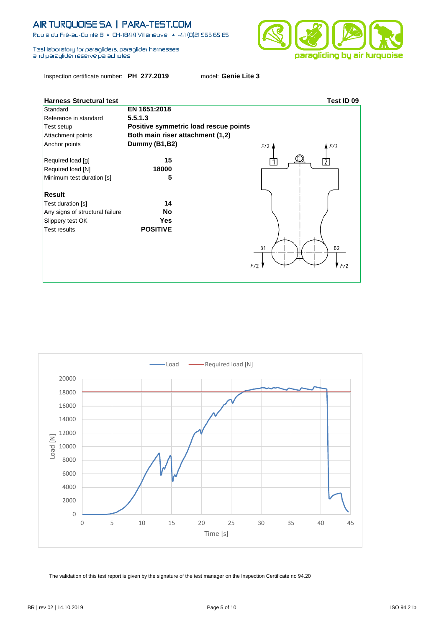Route du Pré-au-Comte 8 + CH-1844 Villeneuve + +41 (0)21 965 65 65

Test laboratory for paragliders, paraglider hamesses and paraglider reserve parachutes



Inspection certificate number: **PH\_277.2019** model: **Genie Lite 3**



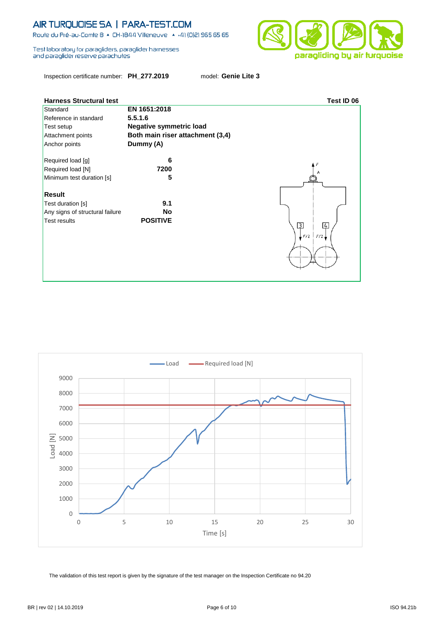Route du Pré-au-Comte 8 + CH-1844 Villeneuve + +41 (0)21 965 65 65

Test laboratory for paragliders, paraglider hamesses and paraglider reserve parachutes

Inspection certificate number: **PH\_277.2019** model: **Genie Lite 3**





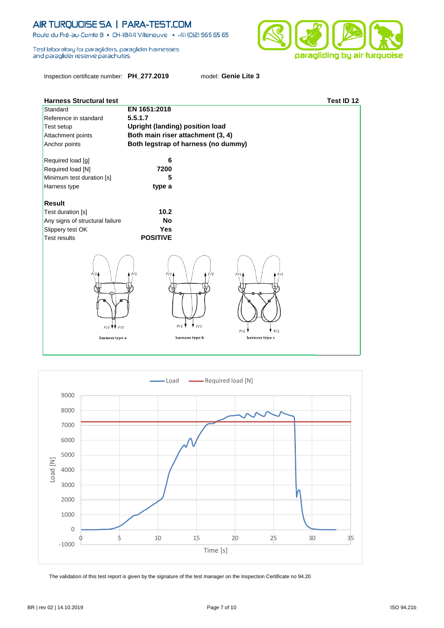Route du Pré-au-Comte 8 & CH-1844 Villeneuve | 4 +41 (0)21 965 65 65

Test laboratory for paragliders, paraglider hamesses and paraglider reserve parachutes

Inspection certificate number: **PH\_277.2019** model: **Genie Lite 3**



| <b>Harness Structural test</b>                    |                                                                                          | Test ID 12 |
|---------------------------------------------------|------------------------------------------------------------------------------------------|------------|
| Standard                                          | EN 1651:2018                                                                             |            |
| Reference in standard                             | 5.5.1.7                                                                                  |            |
| Test setup                                        | <b>Upright (landing) position load</b>                                                   |            |
| Attachment points                                 | Both main riser attachment (3, 4)                                                        |            |
| Anchor points                                     | Both legstrap of harness (no dummy)                                                      |            |
| Required load [g]                                 | 6                                                                                        |            |
| Required load [N]                                 | 7200                                                                                     |            |
| Minimum test duration [s]                         | 5                                                                                        |            |
| Harness type                                      | type a                                                                                   |            |
|                                                   |                                                                                          |            |
| <b>Result</b>                                     |                                                                                          |            |
| Test duration [s]                                 | 10.2                                                                                     |            |
| Any signs of structural failure                   | <b>No</b>                                                                                |            |
| Slippery test OK                                  | <b>Yes</b>                                                                               |            |
| <b>Test results</b>                               | <b>POSITIVE</b>                                                                          |            |
| F/2<br>$F/2$ $\mathbf{W}$ $F/2$<br>harness type a | F/2<br>F/2<br>F/2<br>F/2<br>F/2<br>F/2<br>F/2<br>F/2<br>harness type b<br>harness type c | F/2        |

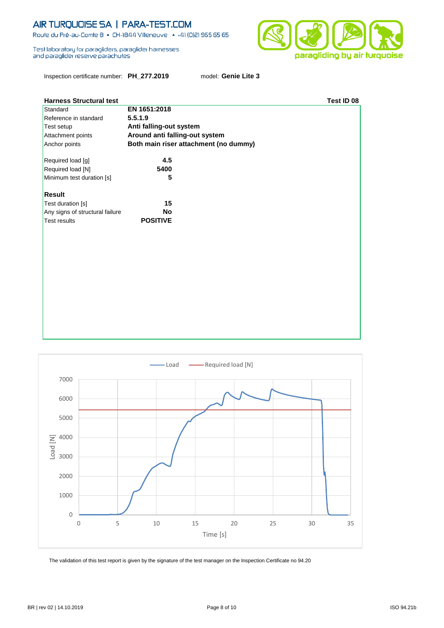Route du Pré-au-Comte 8 & CH-1844 Villeneuve | 4 +41 (0)21 965 65 65

Test laboratory for paragliders, paraglider hamesses and paraglider reserve parachutes



Inspection certificate number: **PH\_277.2019** model: **Genie Lite 3**

| <b>Harness Structural test</b>  |                                       | Test ID 08 |
|---------------------------------|---------------------------------------|------------|
| Standard                        | EN 1651:2018                          |            |
| Reference in standard           | 5.5.1.9                               |            |
| Test setup                      | Anti falling-out system               |            |
| Attachment points               | Around anti falling-out system        |            |
| Anchor points                   | Both main riser attachment (no dummy) |            |
| Required load [g]               | 4.5                                   |            |
| Required load [N]               | 5400                                  |            |
| Minimum test duration [s]       | 5                                     |            |
| <b>Result</b>                   |                                       |            |
| Test duration [s]               | 15                                    |            |
| Any signs of structural failure | <b>No</b>                             |            |
| <b>Test results</b>             | <b>POSITIVE</b>                       |            |
|                                 |                                       |            |
|                                 |                                       |            |
|                                 |                                       |            |
|                                 |                                       |            |
|                                 |                                       |            |
|                                 |                                       |            |
|                                 |                                       |            |
|                                 |                                       |            |
|                                 |                                       |            |
|                                 |                                       |            |

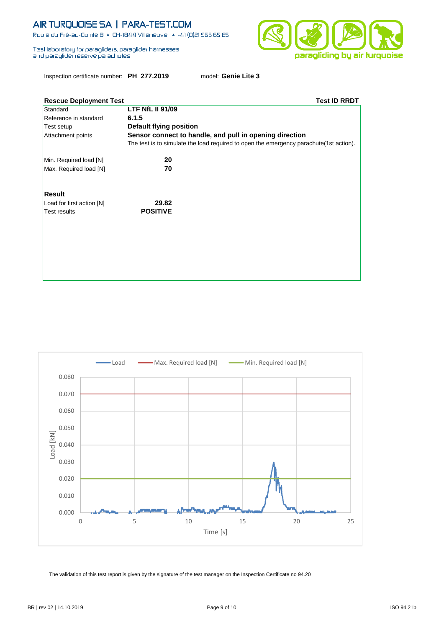Route du Pré-au-Comte 8 & CH-1844 Villeneuve | 4 +41 (0)21 965 65 65

Test laboratory for paragliders, paraglider hamesses and paraglider reserve parachutes



Inspection certificate number: **PH\_277.2019** model: **Genie Lite 3**

| <b>Rescue Deployment Test</b> | <b>Test ID RRDT</b>                                                                     |
|-------------------------------|-----------------------------------------------------------------------------------------|
| Standard                      | <b>LTF NfL II 91/09</b>                                                                 |
| Reference in standard         | 6.1.5                                                                                   |
| Test setup                    | Default flying position                                                                 |
| Attachment points             | Sensor connect to handle, and pull in opening direction                                 |
|                               | The test is to simulate the load required to open the emergency parachute (1st action). |
| Min. Required load [N]        | 20                                                                                      |
| Max. Required load [N]        | 70                                                                                      |
| <b>Result</b>                 |                                                                                         |
| Load for first action [N]     | 29.82                                                                                   |
| <b>Test results</b>           | <b>POSITIVE</b>                                                                         |
|                               |                                                                                         |
|                               |                                                                                         |
|                               |                                                                                         |
|                               |                                                                                         |
|                               |                                                                                         |
|                               |                                                                                         |
|                               |                                                                                         |